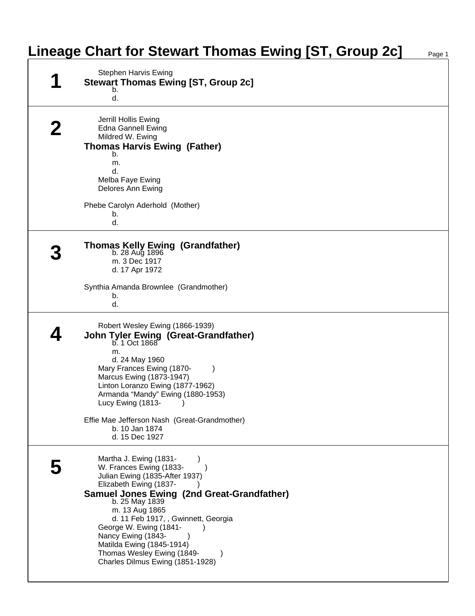## **Lineage Chart for Stewart Thomas Ewing [ST, Group 2c]**

| <b>Stephen Harvis Ewing</b><br><b>Stewart Thomas Ewing [ST, Group 2c]</b>                                                                                                                                                                                                                                                                                                                    |
|----------------------------------------------------------------------------------------------------------------------------------------------------------------------------------------------------------------------------------------------------------------------------------------------------------------------------------------------------------------------------------------------|
| b.<br>d.                                                                                                                                                                                                                                                                                                                                                                                     |
| Jerrill Hollis Ewing<br><b>Edna Gannell Ewing</b><br>Mildred W. Ewing<br><b>Thomas Harvis Ewing (Father)</b><br>b.                                                                                                                                                                                                                                                                           |
| m.<br>d.<br>Melba Faye Ewing<br>Delores Ann Ewing                                                                                                                                                                                                                                                                                                                                            |
| Phebe Carolyn Aderhold (Mother)<br>b.<br>d.                                                                                                                                                                                                                                                                                                                                                  |
| <b>Thomas Kelly Ewing (Grandfather)</b><br>b. 28 Aug 1896<br>m. 3 Dec 1917<br>d. 17 Apr 1972                                                                                                                                                                                                                                                                                                 |
| Synthia Amanda Brownlee (Grandmother)<br>b.<br>d.                                                                                                                                                                                                                                                                                                                                            |
| Robert Wesley Ewing (1866-1939)<br>John Tyler Ewing (Great-Grandfather)<br>b. 1 Oct 1868<br>m.<br>d. 24 May 1960<br>Mary Frances Ewing (1870-<br>Marcus Ewing (1873-1947)<br>Linton Loranzo Ewing (1877-1962)<br>Armanda "Mandy" Ewing (1880-1953)<br>Lucy Ewing (1813-<br>Effie Mae Jefferson Nash (Great-Grandmother)<br>b. 10 Jan 1874<br>d. 15 Dec 1927                                  |
| Martha J. Ewing (1831-<br>W. Frances Ewing (1833-<br>Julian Ewing (1835-After 1937)<br>Elizabeth Ewing (1837-<br><b>Samuel Jones Ewing (2nd Great-Grandfather)</b><br>b. 25 May 1839<br>m. 13 Aug 1865<br>d. 11 Feb 1917, , Gwinnett, Georgia<br>George W. Ewing (1841-<br>Nancy Ewing (1843-<br>Matilda Ewing (1845-1914)<br>Thomas Wesley Ewing (1849-<br>Charles Dilmus Ewing (1851-1928) |